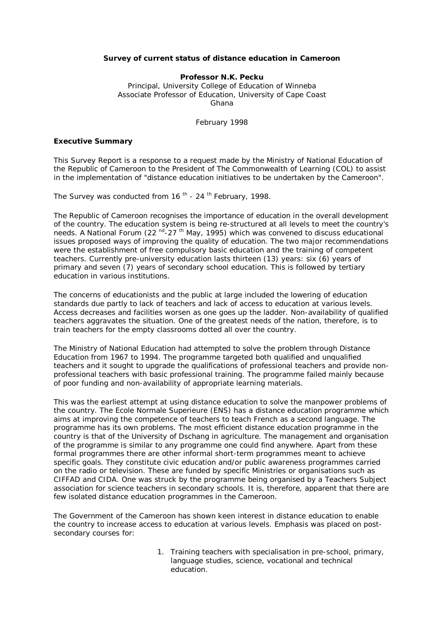## *Survey of current status of distance education in Cameroon*

**Professor N.K. Pecku** Principal, University College of Education of Winneba Associate Professor of Education, University of Cape Coast Ghana

February 1998

## **Executive Summary**

This Survey Report is a response to a request made by the Ministry of National Education of the Republic of Cameroon to the President of The Commonwealth of Learning (COL) to assist in the implementation of "distance education initiatives to be undertaken by the Cameroon".

The Survey was conducted from 16<sup>th</sup> - 24<sup>th</sup> February, 1998.

The Republic of Cameroon recognises the importance of education in the overall development of the country. The education system is being re-structured at all levels to meet the country's needs. A National Forum (22  $^{\text{nd}}$ -27 <sup>th</sup> May, 1995) which was convened to discuss educational issues proposed ways of improving the quality of education. The two major recommendations were the establishment of free compulsory basic education and the training of competent teachers. Currently pre-university education lasts thirteen (13) years: six (6) years of primary and seven (7) years of secondary school education. This is followed by tertiary education in various institutions.

The concerns of educationists and the public at large included the lowering of education standards due partly to lack of teachers and lack of access to education at various levels. Access decreases and facilities worsen as one goes up the ladder. Non-availability of qualified teachers aggravates the situation. One of the greatest needs of the nation, therefore, is to train teachers for the empty classrooms dotted all over the country.

The Ministry of National Education had attempted to solve the problem through Distance Education from 1967 to 1994. The programme targeted both qualified and unqualified teachers and it sought to upgrade the qualifications of professional teachers and provide nonprofessional teachers with basic professional training. The programme failed mainly because of poor funding and non-availability of appropriate learning materials.

This was the earliest attempt at using distance education to solve the manpower problems of the country. The Ecole Normale Superieure (ENS) has a distance education programme which aims at improving the competence of teachers to teach French as a second language. The programme has its own problems. The most efficient distance education programme in the country is that of the University of Dschang in agriculture. The management and organisation of the programme is similar to any programme one could find anywhere. Apart from these formal programmes there are other informal short-term programmes meant to achieve specific goals. They constitute civic education and/or public awareness programmes carried on the radio or television. These are funded by specific Ministries or organisations such as CIFFAD and CIDA. One was struck by the programme being organised by a Teachers Subject association for science teachers in secondary schools. It is, therefore, apparent that there are few isolated distance education programmes in the Cameroon.

The Government of the Cameroon has shown keen interest in distance education to enable the country to increase access to education at various levels. Emphasis was placed on postsecondary courses for:

> 1. Training teachers with specialisation in pre-school, primary, language studies, science, vocational and technical education.